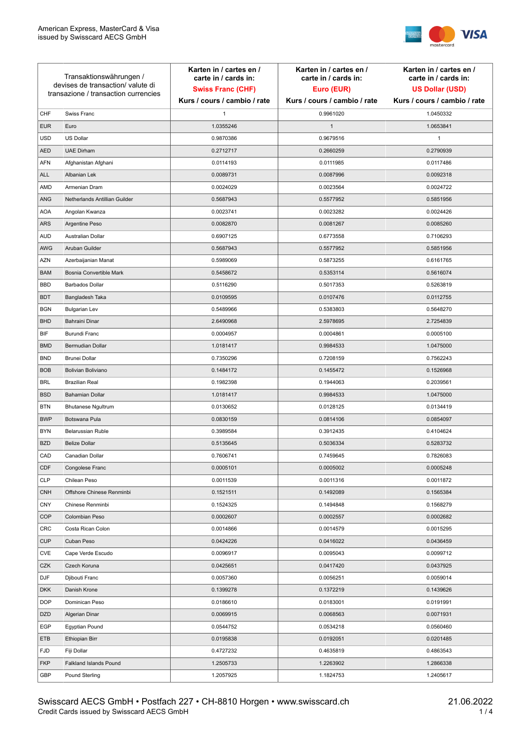

| Transaktionswährungen /<br>devises de transaction/valute di<br>transazione / transaction currencies |                               | Karten in / cartes en /<br>carte in / cards in:<br><b>Swiss Franc (CHF)</b> | Karten in / cartes en /<br>carte in / cards in:<br>Euro (EUR) | Karten in / cartes en /<br>carte in / cards in:<br><b>US Dollar (USD)</b> |
|-----------------------------------------------------------------------------------------------------|-------------------------------|-----------------------------------------------------------------------------|---------------------------------------------------------------|---------------------------------------------------------------------------|
|                                                                                                     |                               | Kurs / cours / cambio / rate                                                | Kurs / cours / cambio / rate                                  | Kurs / cours / cambio / rate                                              |
| CHF                                                                                                 | Swiss Franc                   | 1                                                                           | 0.9961020                                                     | 1.0450332                                                                 |
| <b>EUR</b>                                                                                          | Euro                          | 1.0355246                                                                   | $\mathbf{1}$                                                  | 1.0653841                                                                 |
| <b>USD</b>                                                                                          | US Dollar                     | 0.9870386                                                                   | 0.9679516                                                     | 1                                                                         |
| <b>AED</b>                                                                                          | <b>UAE Dirham</b>             | 0.2712717                                                                   | 0.2660259                                                     | 0.2790939                                                                 |
| <b>AFN</b>                                                                                          | Afghanistan Afghani           | 0.0114193                                                                   | 0.0111985                                                     | 0.0117486                                                                 |
| ALL                                                                                                 | Albanian Lek                  | 0.0089731                                                                   | 0.0087996                                                     | 0.0092318                                                                 |
| AMD                                                                                                 | Armenian Dram                 | 0.0024029                                                                   | 0.0023564                                                     | 0.0024722                                                                 |
| ANG                                                                                                 | Netherlands Antillian Guilder | 0.5687943                                                                   | 0.5577952                                                     | 0.5851956                                                                 |
| <b>AOA</b>                                                                                          | Angolan Kwanza                | 0.0023741                                                                   | 0.0023282                                                     | 0.0024426                                                                 |
| ARS                                                                                                 | Argentine Peso                | 0.0082870                                                                   | 0.0081267                                                     | 0.0085260                                                                 |
| <b>AUD</b>                                                                                          | Australian Dollar             | 0.6907125                                                                   | 0.6773558                                                     | 0.7106293                                                                 |
| AWG                                                                                                 | Aruban Guilder                | 0.5687943                                                                   | 0.5577952                                                     | 0.5851956                                                                 |
| AZN                                                                                                 | Azerbaijanian Manat           | 0.5989069                                                                   | 0.5873255                                                     | 0.6161765                                                                 |
| <b>BAM</b>                                                                                          | Bosnia Convertible Mark       | 0.5458672                                                                   | 0.5353114                                                     | 0.5616074                                                                 |
| <b>BBD</b>                                                                                          | <b>Barbados Dollar</b>        | 0.5116290                                                                   | 0.5017353                                                     | 0.5263819                                                                 |
| <b>BDT</b>                                                                                          | Bangladesh Taka               | 0.0109595                                                                   | 0.0107476                                                     | 0.0112755                                                                 |
| <b>BGN</b>                                                                                          | <b>Bulgarian Lev</b>          | 0.5489966                                                                   | 0.5383803                                                     | 0.5648270                                                                 |
| <b>BHD</b>                                                                                          | Bahraini Dinar                | 2.6490968                                                                   | 2.5978695                                                     | 2.7254839                                                                 |
| BIF                                                                                                 | Burundi Franc                 | 0.0004957                                                                   | 0.0004861                                                     | 0.0005100                                                                 |
| <b>BMD</b>                                                                                          | Bermudian Dollar              | 1.0181417                                                                   | 0.9984533                                                     | 1.0475000                                                                 |
| <b>BND</b>                                                                                          | <b>Brunei Dollar</b>          | 0.7350296                                                                   | 0.7208159                                                     | 0.7562243                                                                 |
| <b>BOB</b>                                                                                          | Bolivian Boliviano            | 0.1484172                                                                   | 0.1455472                                                     | 0.1526968                                                                 |
| <b>BRL</b>                                                                                          | <b>Brazilian Real</b>         | 0.1982398                                                                   | 0.1944063                                                     | 0.2039561                                                                 |
| <b>BSD</b>                                                                                          | <b>Bahamian Dollar</b>        | 1.0181417                                                                   | 0.9984533                                                     | 1.0475000                                                                 |
| <b>BTN</b>                                                                                          | <b>Bhutanese Ngultrum</b>     | 0.0130652                                                                   | 0.0128125                                                     | 0.0134419                                                                 |
| <b>BWP</b>                                                                                          | Botswana Pula                 | 0.0830159                                                                   | 0.0814106                                                     | 0.0854097                                                                 |
| <b>BYN</b>                                                                                          | Belarussian Ruble             | 0.3989584                                                                   | 0.3912435                                                     | 0.4104624                                                                 |
| <b>BZD</b>                                                                                          | <b>Belize Dollar</b>          | 0.5135645                                                                   | 0.5036334                                                     | 0.5283732                                                                 |
| CAD                                                                                                 | Canadian Dollar               | 0.7606741                                                                   | 0.7459645                                                     | 0.7826083                                                                 |
| CDF                                                                                                 | Congolese Franc               | 0.0005101                                                                   | 0.0005002                                                     | 0.0005248                                                                 |
| <b>CLP</b>                                                                                          | Chilean Peso                  | 0.0011539                                                                   | 0.0011316                                                     | 0.0011872                                                                 |
| <b>CNH</b>                                                                                          | Offshore Chinese Renminbi     | 0.1521511                                                                   | 0.1492089                                                     | 0.1565384                                                                 |
| <b>CNY</b>                                                                                          | Chinese Renminbi              | 0.1524325                                                                   | 0.1494848                                                     | 0.1568279                                                                 |
| <b>COP</b>                                                                                          | Colombian Peso                | 0.0002607                                                                   | 0.0002557                                                     | 0.0002682                                                                 |
| CRC                                                                                                 | Costa Rican Colon             | 0.0014866                                                                   | 0.0014579                                                     | 0.0015295                                                                 |
| <b>CUP</b>                                                                                          | Cuban Peso                    | 0.0424226                                                                   | 0.0416022                                                     | 0.0436459                                                                 |
| CVE                                                                                                 | Cape Verde Escudo             | 0.0096917                                                                   | 0.0095043                                                     | 0.0099712                                                                 |
| CZK                                                                                                 | Czech Koruna                  | 0.0425651                                                                   | 0.0417420                                                     | 0.0437925                                                                 |
| <b>DJF</b>                                                                                          | Djibouti Franc                | 0.0057360                                                                   | 0.0056251                                                     | 0.0059014                                                                 |
| <b>DKK</b>                                                                                          | Danish Krone                  | 0.1399278                                                                   | 0.1372219                                                     | 0.1439626                                                                 |
| <b>DOP</b>                                                                                          | Dominican Peso                | 0.0186610                                                                   | 0.0183001                                                     | 0.0191991                                                                 |
| <b>DZD</b>                                                                                          | Algerian Dinar                | 0.0069915                                                                   | 0.0068563                                                     | 0.0071931                                                                 |
| EGP                                                                                                 | Egyptian Pound                | 0.0544752                                                                   | 0.0534218                                                     | 0.0560460                                                                 |
| ETB                                                                                                 | Ethiopian Birr                | 0.0195838                                                                   | 0.0192051                                                     | 0.0201485                                                                 |
| <b>FJD</b>                                                                                          | Fiji Dollar                   | 0.4727232                                                                   | 0.4635819                                                     | 0.4863543                                                                 |
| <b>FKP</b>                                                                                          | Falkland Islands Pound        | 1.2505733                                                                   | 1.2263902                                                     | 1.2866338                                                                 |
| GBP                                                                                                 | Pound Sterling                | 1.2057925                                                                   | 1.1824753                                                     | 1.2405617                                                                 |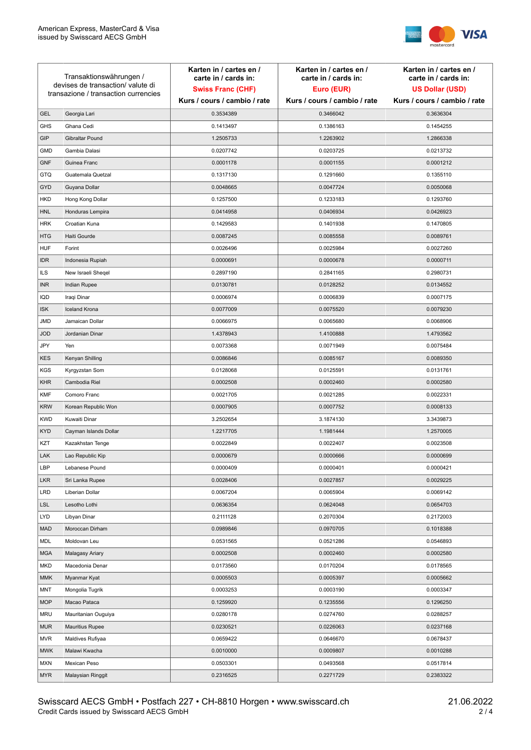

| Transaktionswährungen /<br>devises de transaction/valute di<br>transazione / transaction currencies |                        | Karten in / cartes en /<br>carte in / cards in: | Karten in / cartes en /<br>carte in / cards in: | Karten in / cartes en /<br>carte in / cards in: |
|-----------------------------------------------------------------------------------------------------|------------------------|-------------------------------------------------|-------------------------------------------------|-------------------------------------------------|
|                                                                                                     |                        | <b>Swiss Franc (CHF)</b>                        | Euro (EUR)                                      | <b>US Dollar (USD)</b>                          |
|                                                                                                     |                        | Kurs / cours / cambio / rate                    | Kurs / cours / cambio / rate                    | Kurs / cours / cambio / rate                    |
| <b>GEL</b>                                                                                          | Georgia Lari           | 0.3534389                                       | 0.3466042                                       | 0.3636304                                       |
| <b>GHS</b>                                                                                          | Ghana Cedi             | 0.1413497                                       | 0.1386163                                       | 0.1454255                                       |
| GIP                                                                                                 | Gibraltar Pound        | 1.2505733                                       | 1.2263902                                       | 1.2866338                                       |
| <b>GMD</b>                                                                                          | Gambia Dalasi          | 0.0207742                                       | 0.0203725                                       | 0.0213732                                       |
| <b>GNF</b>                                                                                          | Guinea Franc           | 0.0001178                                       | 0.0001155                                       | 0.0001212                                       |
| <b>GTQ</b>                                                                                          | Guatemala Quetzal      | 0.1317130                                       | 0.1291660                                       | 0.1355110                                       |
| GYD                                                                                                 | Guyana Dollar          | 0.0048665                                       | 0.0047724                                       | 0.0050068                                       |
| <b>HKD</b>                                                                                          | Hong Kong Dollar       | 0.1257500                                       | 0.1233183                                       | 0.1293760                                       |
| <b>HNL</b>                                                                                          | Honduras Lempira       | 0.0414958                                       | 0.0406934                                       | 0.0426923                                       |
| <b>HRK</b>                                                                                          | Croatian Kuna          | 0.1429583                                       | 0.1401938                                       | 0.1470805                                       |
| <b>HTG</b>                                                                                          | Haiti Gourde           | 0.0087245                                       | 0.0085558                                       | 0.0089761                                       |
| <b>HUF</b>                                                                                          | Forint                 | 0.0026496                                       | 0.0025984                                       | 0.0027260                                       |
| <b>IDR</b>                                                                                          | Indonesia Rupiah       | 0.0000691                                       | 0.0000678                                       | 0.0000711                                       |
| ILS                                                                                                 | New Israeli Sheqel     | 0.2897190                                       | 0.2841165                                       | 0.2980731                                       |
| <b>INR</b>                                                                                          | Indian Rupee           | 0.0130781                                       | 0.0128252                                       | 0.0134552                                       |
| IQD                                                                                                 | Iraqi Dinar            | 0.0006974                                       | 0.0006839                                       | 0.0007175                                       |
| <b>ISK</b>                                                                                          | <b>Iceland Krona</b>   | 0.0077009                                       | 0.0075520                                       | 0.0079230                                       |
| JMD                                                                                                 | Jamaican Dollar        | 0.0066975                                       | 0.0065680                                       | 0.0068906                                       |
| <b>JOD</b>                                                                                          | Jordanian Dinar        | 1.4378943                                       | 1.4100888                                       | 1.4793562                                       |
| JPY                                                                                                 | Yen                    | 0.0073368                                       | 0.0071949                                       | 0.0075484                                       |
| <b>KES</b>                                                                                          | Kenyan Shilling        | 0.0086846                                       | 0.0085167                                       | 0.0089350                                       |
| <b>KGS</b>                                                                                          | Kyrgyzstan Som         | 0.0128068                                       | 0.0125591                                       | 0.0131761                                       |
| <b>KHR</b>                                                                                          | Cambodia Riel          | 0.0002508                                       | 0.0002460                                       | 0.0002580                                       |
| <b>KMF</b>                                                                                          | Comoro Franc           | 0.0021705                                       | 0.0021285                                       | 0.0022331                                       |
| <b>KRW</b>                                                                                          | Korean Republic Won    | 0.0007905                                       | 0.0007752                                       | 0.0008133                                       |
| <b>KWD</b>                                                                                          | Kuwaiti Dinar          | 3.2502654                                       | 3.1874130                                       | 3.3439873                                       |
| <b>KYD</b>                                                                                          | Cayman Islands Dollar  | 1.2217705                                       | 1.1981444                                       | 1.2570005                                       |
| KZT                                                                                                 | Kazakhstan Tenge       | 0.0022849                                       | 0.0022407                                       | 0.0023508                                       |
| LAK                                                                                                 | Lao Republic Kip       | 0.0000679                                       | 0.0000666                                       | 0.0000699                                       |
| LBP                                                                                                 | Lebanese Pound         | 0.0000409                                       | 0.0000401                                       | 0.0000421                                       |
| <b>LKR</b>                                                                                          | Sri Lanka Rupee        | 0.0028406                                       | 0.0027857                                       | 0.0029225                                       |
| <b>LRD</b>                                                                                          | Liberian Dollar        | 0.0067204                                       | 0.0065904                                       | 0.0069142                                       |
| <b>LSL</b>                                                                                          | Lesotho Lothi          | 0.0636354                                       | 0.0624048                                       | 0.0654703                                       |
| LYD                                                                                                 | Libyan Dinar           | 0.2111128                                       | 0.2070304                                       | 0.2172003                                       |
| <b>MAD</b>                                                                                          | Moroccan Dirham        | 0.0989846                                       | 0.0970705                                       | 0.1018388                                       |
| MDL                                                                                                 | Moldovan Leu           | 0.0531565                                       | 0.0521286                                       | 0.0546893                                       |
| <b>MGA</b>                                                                                          | Malagasy Ariary        | 0.0002508                                       | 0.0002460                                       | 0.0002580                                       |
| <b>MKD</b>                                                                                          | Macedonia Denar        | 0.0173560                                       | 0.0170204                                       | 0.0178565                                       |
| MMK                                                                                                 | Myanmar Kyat           | 0.0005503                                       | 0.0005397                                       | 0.0005662                                       |
| MNT                                                                                                 | Mongolia Tugrik        | 0.0003253                                       | 0.0003190                                       | 0.0003347                                       |
| <b>MOP</b>                                                                                          | Macao Pataca           | 0.1259920                                       | 0.1235556                                       | 0.1296250                                       |
| <b>MRU</b>                                                                                          | Mauritanian Ouguiya    | 0.0280178                                       | 0.0274760                                       | 0.0288257                                       |
| <b>MUR</b>                                                                                          | <b>Mauritius Rupee</b> | 0.0230521                                       | 0.0226063                                       | 0.0237168                                       |
| <b>MVR</b>                                                                                          | Maldives Rufiyaa       | 0.0659422                                       | 0.0646670                                       | 0.0678437                                       |
| <b>MWK</b>                                                                                          | Malawi Kwacha          | 0.0010000                                       | 0.0009807                                       | 0.0010288                                       |
| <b>MXN</b>                                                                                          | Mexican Peso           | 0.0503301                                       | 0.0493568                                       | 0.0517814                                       |
| <b>MYR</b>                                                                                          | Malaysian Ringgit      | 0.2316525                                       | 0.2271729                                       | 0.2383322                                       |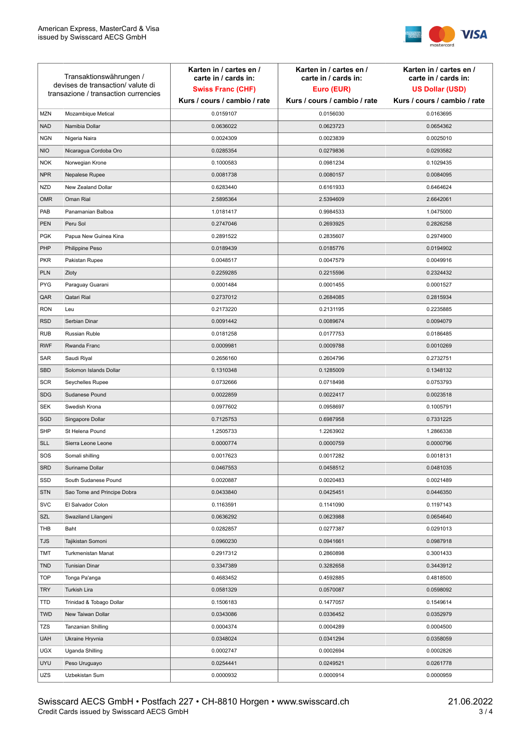

| Transaktionswährungen /<br>devises de transaction/valute di<br>transazione / transaction currencies |                             | Karten in / cartes en /<br>carte in / cards in:<br><b>Swiss Franc (CHF)</b> | Karten in / cartes en /<br>carte in / cards in:<br>Euro (EUR) | Karten in / cartes en /<br>carte in / cards in:<br><b>US Dollar (USD)</b> |
|-----------------------------------------------------------------------------------------------------|-----------------------------|-----------------------------------------------------------------------------|---------------------------------------------------------------|---------------------------------------------------------------------------|
|                                                                                                     |                             | Kurs / cours / cambio / rate                                                | Kurs / cours / cambio / rate                                  | Kurs / cours / cambio / rate                                              |
| <b>MZN</b>                                                                                          | Mozambique Metical          | 0.0159107                                                                   | 0.0156030                                                     | 0.0163695                                                                 |
| <b>NAD</b>                                                                                          | Namibia Dollar              | 0.0636022                                                                   | 0.0623723                                                     | 0.0654362                                                                 |
| <b>NGN</b>                                                                                          | Nigeria Naira               | 0.0024309                                                                   | 0.0023839                                                     | 0.0025010                                                                 |
| <b>NIO</b>                                                                                          | Nicaragua Cordoba Oro       | 0.0285354                                                                   | 0.0279836                                                     | 0.0293582                                                                 |
| <b>NOK</b>                                                                                          | Norwegian Krone             | 0.1000583                                                                   | 0.0981234                                                     | 0.1029435                                                                 |
| <b>NPR</b>                                                                                          | Nepalese Rupee              | 0.0081738                                                                   | 0.0080157                                                     | 0.0084095                                                                 |
| <b>NZD</b>                                                                                          | New Zealand Dollar          | 0.6283440                                                                   | 0.6161933                                                     | 0.6464624                                                                 |
| <b>OMR</b>                                                                                          | Oman Rial                   | 2.5895364                                                                   | 2.5394609                                                     | 2.6642061                                                                 |
| PAB                                                                                                 | Panamanian Balboa           | 1.0181417                                                                   | 0.9984533                                                     | 1.0475000                                                                 |
| <b>PEN</b>                                                                                          | Peru Sol                    | 0.2747046                                                                   | 0.2693925                                                     | 0.2826258                                                                 |
| <b>PGK</b>                                                                                          | Papua New Guinea Kina       | 0.2891522                                                                   | 0.2835607                                                     | 0.2974900                                                                 |
| PHP                                                                                                 | Philippine Peso             | 0.0189439                                                                   | 0.0185776                                                     | 0.0194902                                                                 |
| <b>PKR</b>                                                                                          | Pakistan Rupee              | 0.0048517                                                                   | 0.0047579                                                     | 0.0049916                                                                 |
| <b>PLN</b>                                                                                          | Zloty                       | 0.2259285                                                                   | 0.2215596                                                     | 0.2324432                                                                 |
| <b>PYG</b>                                                                                          | Paraguay Guarani            | 0.0001484                                                                   | 0.0001455                                                     | 0.0001527                                                                 |
| QAR                                                                                                 | Qatari Rial                 | 0.2737012                                                                   | 0.2684085                                                     | 0.2815934                                                                 |
| <b>RON</b>                                                                                          | Leu                         | 0.2173220                                                                   | 0.2131195                                                     | 0.2235885                                                                 |
| <b>RSD</b>                                                                                          | Serbian Dinar               | 0.0091442                                                                   | 0.0089674                                                     | 0.0094079                                                                 |
| <b>RUB</b>                                                                                          | Russian Ruble               | 0.0181258                                                                   | 0.0177753                                                     | 0.0186485                                                                 |
| <b>RWF</b>                                                                                          | Rwanda Franc                | 0.0009981                                                                   | 0.0009788                                                     | 0.0010269                                                                 |
| SAR                                                                                                 | Saudi Riyal                 | 0.2656160                                                                   | 0.2604796                                                     | 0.2732751                                                                 |
| SBD                                                                                                 | Solomon Islands Dollar      | 0.1310348                                                                   | 0.1285009                                                     | 0.1348132                                                                 |
| <b>SCR</b>                                                                                          | Seychelles Rupee            | 0.0732666                                                                   | 0.0718498                                                     | 0.0753793                                                                 |
| <b>SDG</b>                                                                                          | Sudanese Pound              | 0.0022859                                                                   | 0.0022417                                                     | 0.0023518                                                                 |
| <b>SEK</b>                                                                                          | Swedish Krona               | 0.0977602                                                                   | 0.0958697                                                     | 0.1005791                                                                 |
| SGD                                                                                                 | Singapore Dollar            | 0.7125753                                                                   | 0.6987958                                                     | 0.7331225                                                                 |
| <b>SHP</b>                                                                                          | St Helena Pound             | 1.2505733                                                                   | 1.2263902                                                     | 1.2866338                                                                 |
| <b>SLL</b>                                                                                          | Sierra Leone Leone          | 0.0000774                                                                   | 0.0000759                                                     | 0.0000796                                                                 |
| SOS                                                                                                 | Somali shilling             | 0.0017623                                                                   | 0.0017282                                                     | 0.0018131                                                                 |
| SRD                                                                                                 | Suriname Dollar             | 0.0467553                                                                   | 0.0458512                                                     | 0.0481035                                                                 |
| SSD                                                                                                 | South Sudanese Pound        | 0.0020887                                                                   | 0.0020483                                                     | 0.0021489                                                                 |
| <b>STN</b>                                                                                          | Sao Tome and Principe Dobra | 0.0433840                                                                   | 0.0425451                                                     | 0.0446350                                                                 |
| <b>SVC</b>                                                                                          | El Salvador Colon           | 0.1163591                                                                   | 0.1141090                                                     | 0.1197143                                                                 |
| SZL                                                                                                 | Swaziland Lilangeni         | 0.0636292                                                                   | 0.0623988                                                     | 0.0654640                                                                 |
| THB                                                                                                 | Baht                        | 0.0282857                                                                   | 0.0277387                                                     | 0.0291013                                                                 |
| TJS                                                                                                 | Tajikistan Somoni           | 0.0960230                                                                   | 0.0941661                                                     | 0.0987918                                                                 |
| <b>TMT</b>                                                                                          | Turkmenistan Manat          | 0.2917312                                                                   | 0.2860898                                                     | 0.3001433                                                                 |
| <b>TND</b>                                                                                          | <b>Tunisian Dinar</b>       | 0.3347389                                                                   | 0.3282658                                                     | 0.3443912                                                                 |
| <b>TOP</b>                                                                                          | Tonga Pa'anga               | 0.4683452                                                                   | 0.4592885                                                     | 0.4818500                                                                 |
| <b>TRY</b>                                                                                          | Turkish Lira                | 0.0581329                                                                   | 0.0570087                                                     | 0.0598092                                                                 |
| TTD                                                                                                 | Trinidad & Tobago Dollar    | 0.1506183                                                                   | 0.1477057                                                     | 0.1549614                                                                 |
| <b>TWD</b>                                                                                          | New Taiwan Dollar           | 0.0343086                                                                   | 0.0336452                                                     | 0.0352979                                                                 |
| <b>TZS</b>                                                                                          | Tanzanian Shilling          | 0.0004374                                                                   | 0.0004289                                                     | 0.0004500                                                                 |
| <b>UAH</b>                                                                                          | Ukraine Hryvnia             | 0.0348024                                                                   | 0.0341294                                                     | 0.0358059                                                                 |
| <b>UGX</b>                                                                                          | Uganda Shilling             | 0.0002747                                                                   | 0.0002694                                                     | 0.0002826                                                                 |
| <b>UYU</b>                                                                                          | Peso Uruguayo               | 0.0254441                                                                   | 0.0249521                                                     | 0.0261778                                                                 |
| UZS                                                                                                 | Uzbekistan Sum              | 0.0000932                                                                   | 0.0000914                                                     | 0.0000959                                                                 |